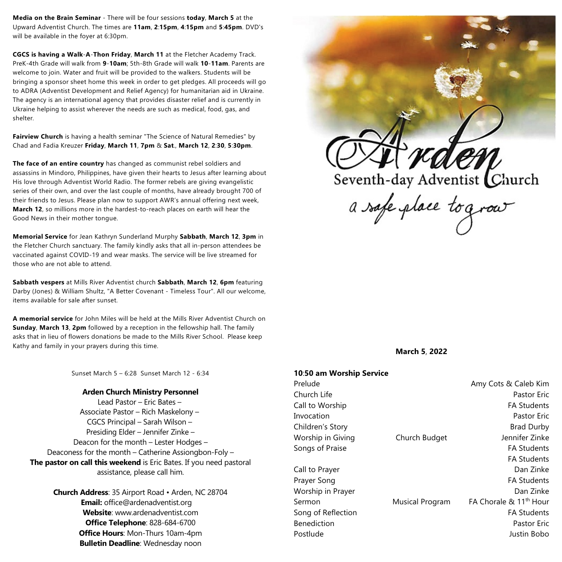**Media on the Brain Seminar** - There will be four sessions **today**, **March 5** at the Upward Adventist Church. The times are **11am**, **2**:**15pm**, **4**:**15pm** and **5**:**45pm**. DVD's will be available in the foyer at 6:30pm.

**CGCS is having a Walk**-**A**-**Thon Friday**, **March 11** at the Fletcher Academy Track. PreK-4th Grade will walk from **9**-**10am**; 5th-8th Grade will walk **10**-**11am**. Parents are welcome to join. Water and fruit will be provided to the walkers. Students will be bringing a sponsor sheet home this week in order to get pledges. All proceeds will go to ADRA (Adventist Development and Relief Agency) for humanitarian aid in Ukraine. The agency is an international agency that provides disaster relief and is currently in Ukraine helping to assist wherever the needs are such as medical, food, gas, and shelter.

**Fairview Church** is having a health seminar "The Science of Natural Remedies" by Chad and Fadia Kreuzer **Friday**, **March 11**, **7pm** & **Sat**., **March 12**, **2**:**30**, **5**:**30pm**.

**The face of an entire country** has changed as communist rebel soldiers and assassins in Mindoro, Philippines, have given their hearts to Jesus after learning about His love through Adventist World Radio. The former rebels are giving evangelistic series of their own, and over the last couple of months, have already brought 700 of their friends to Jesus. Please plan now to support AWR's annual offering next week, **March 12**, so millions more in the hardest-to-reach places on earth will hear the Good News in their mother tongue.

**Memorial Service** for Jean Kathryn Sunderland Murphy **Sabbath**, **March 12**, **3pm** in the Fletcher Church sanctuary. The family kindly asks that all in-person attendees be vaccinated against COVID-19 and wear masks. The service will be live streamed for those who are not able to attend.

**Sabbath vespers** at Mills River Adventist church **Sabbath**, **March 12**, **6pm** featuring Darby (Jones) & William Shultz, "A Better Covenant - Timeless Tour". All our welcome, items available for sale after sunset.

**A memorial service** for John Miles will be held at the Mills River Adventist Church on **Sunday**, **March 13**, **2pm** followed by a reception in the fellowship hall. The family asks that in lieu of flowers donations be made to the Mills River School. Please keep Kathy and family in your prayers during this time.

Sunset March 5 – 6:28 Sunset March 12 - 6:34

## **Arden Church Ministry Personnel**

Lead Pastor – Eric Bates – Associate Pastor – Rich Maskelony – CGCS Principal – Sarah Wilson – Presiding Elder – Jennifer Zinke – Deacon for the month – Lester Hodges – Deaconess for the month – Catherine Assiongbon-Foly – **The pastor on call this weekend** is Eric Bates. If you need pastoral assistance, please call him.

> **Church Address**: 35 Airport Road • Arden, NC 28704 **Email:** office@ardenadventist.org **Website**: www.ardenadventist.com **Office Telephone**: 828-684-6700 **Office Hours**: Mon-Thurs 10am-4pm **Bulletin Deadline**: Wednesday noon



**March 5**, **2022**

# **10**:**50 am Worship Service**

Prelude **Amy Cots & Caleb Kim** Church Life **Pastor Exception Church Life** Pastor Eric Call to Worship **FA Students** Invocation Pastor Eric Children's Story **Brad Durby** Brad Durby Worship in Giving *Church Budget* Jennifer Zinke Songs of Praise FA Students FA Students Call to Prayer **Dan Zinke** Prayer Song FA Students Worship in Prayer North Communication and Dan Zinke Sermon **Musical Program** <sup>th</sup> Hour Song of Reflection **FA** Students Benediction Pastor Eric Postlude Justin Bobo